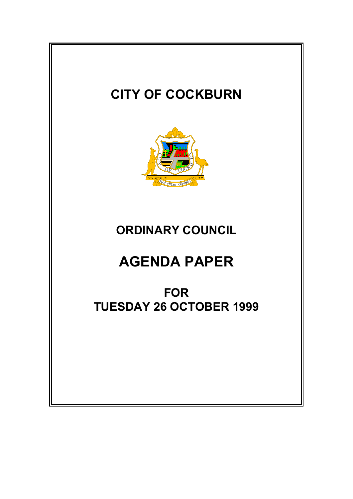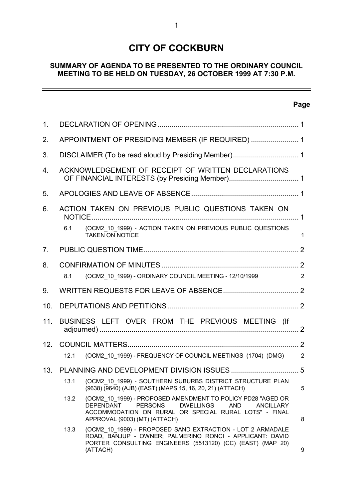# **CITY OF COCKBURN**

# **SUMMARY OF AGENDA TO BE PRESENTED TO THE ORDINARY COUNCIL MEETING TO BE HELD ON TUESDAY, 26 OCTOBER 1999 AT 7:30 P.M.**

# **Page**

 $\equiv$ 

| 1.              |                                                  |                                                                                                                                                                                                                                                   |                |
|-----------------|--------------------------------------------------|---------------------------------------------------------------------------------------------------------------------------------------------------------------------------------------------------------------------------------------------------|----------------|
| 2.              | APPOINTMENT OF PRESIDING MEMBER (IF REQUIRED)  1 |                                                                                                                                                                                                                                                   |                |
| 3.              |                                                  |                                                                                                                                                                                                                                                   |                |
| 4.              |                                                  | ACKNOWLEDGEMENT OF RECEIPT OF WRITTEN DECLARATIONS                                                                                                                                                                                                |                |
| 5.              |                                                  |                                                                                                                                                                                                                                                   |                |
| 6.              |                                                  | ACTION TAKEN ON PREVIOUS PUBLIC QUESTIONS TAKEN ON                                                                                                                                                                                                |                |
|                 | 6.1                                              | (OCM2_10_1999) - ACTION TAKEN ON PREVIOUS PUBLIC QUESTIONS<br><b>TAKEN ON NOTICE</b>                                                                                                                                                              | $\mathbf 1$    |
| 7 <sub>1</sub>  |                                                  |                                                                                                                                                                                                                                                   |                |
| 8.              |                                                  |                                                                                                                                                                                                                                                   |                |
|                 | 8.1                                              | (OCM2_10_1999) - ORDINARY COUNCIL MEETING - 12/10/1999                                                                                                                                                                                            | $\overline{2}$ |
| 9.              |                                                  |                                                                                                                                                                                                                                                   |                |
| 10.             |                                                  |                                                                                                                                                                                                                                                   |                |
| 11.             |                                                  | BUSINESS LEFT OVER FROM THE PREVIOUS MEETING (If                                                                                                                                                                                                  |                |
| 12 <sub>1</sub> |                                                  |                                                                                                                                                                                                                                                   |                |
|                 | 12.1                                             | (OCM2_10_1999) - FREQUENCY OF COUNCIL MEETINGS (1704) (DMG) 2                                                                                                                                                                                     |                |
| 13.             |                                                  |                                                                                                                                                                                                                                                   |                |
|                 | 13.1                                             | (OCM2_10_1999) - SOUTHERN SUBURBS DISTRICT STRUCTURE PLAN<br>(9638) (9640) (AJB) (EAST) (MAPS 15, 16, 20, 21) (ATTACH)                                                                                                                            | 5              |
|                 | 13.2                                             | (OCM2 10 1999) - PROPOSED AMENDMENT TO POLICY PD28 "AGED OR<br><b>DEPENDANT</b><br><b>PERSONS</b><br><b>DWELLINGS</b><br><b>AND</b><br><b>ANCILLARY</b><br>ACCOMMODATION ON RURAL OR SPECIAL RURAL LOTS" - FINAL<br>APPROVAL (9003) (MT) (ATTACH) | 8              |
|                 | 13.3                                             | (OCM2_10_1999) - PROPOSED SAND EXTRACTION - LOT 2 ARMADALE<br>ROAD, BANJUP - OWNER; PALMERINO RONCI - APPLICANT: DAVID<br>PORTER CONSULTING ENGINEERS (5513120) (CC) (EAST) (MAP 20)<br>(ATTACH)                                                  | 9              |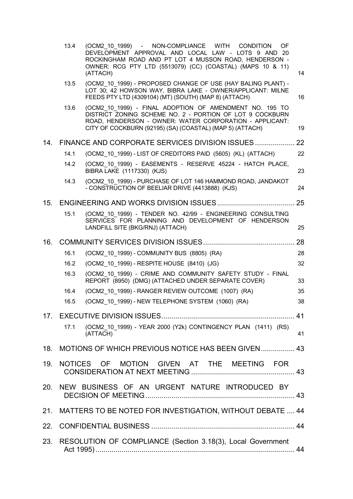|     | 13.4 | (OCM2 10 1999) - NON-COMPLIANCE WITH CONDITION<br>OF<br>DEVELOPMENT APPROVAL AND LOCAL LAW - LOTS 9 AND 20<br>ROCKINGHAM ROAD AND PT LOT 4 MUSSON ROAD, HENDERSON -                                                                        |    |
|-----|------|--------------------------------------------------------------------------------------------------------------------------------------------------------------------------------------------------------------------------------------------|----|
|     |      | OWNER: RCG PTY LTD (5513079) (CC) (COASTAL) (MAPS 10 & 11)<br>(ATTACH)                                                                                                                                                                     | 14 |
|     | 13.5 | (OCM2 10 1999) - PROPOSED CHANGE OF USE (HAY BALING PLANT) -<br>LOT 30; 42 HOWSON WAY, BIBRA LAKE - OWNER/APPLICANT: MILNE<br>FEEDS PTY LTD (4309104) (MT) (SOUTH) (MAP 8) (ATTACH)                                                        | 16 |
|     | 13.6 | (OCM2 10 1999) - FINAL ADOPTION OF AMENDMENT NO. 195 TO<br>DISTRICT ZONING SCHEME NO. 2 - PORTION OF LOT 9 COCKBURN<br>ROAD, HENDERSON - OWNER: WATER CORPORATION - APPLICANT:<br>CITY OF COCKBURN (92195) (SA) (COASTAL) (MAP 5) (ATTACH) | 19 |
| 14. |      | FINANCE AND CORPORATE SERVICES DIVISION ISSUES                                                                                                                                                                                             | 22 |
|     | 14.1 | (OCM2 10 1999) - LIST OF CREDITORS PAID (5605) (KL) (ATTACH)                                                                                                                                                                               | 22 |
|     | 14.2 | (OCM2 10 1999) - EASEMENTS - RESERVE 45224 - HATCH PLACE,<br>BIBRA LAKE (1117330) (KJS)                                                                                                                                                    | 23 |
|     | 14.3 | (OCM2 10 1999) - PURCHASE OF LOT 146 HAMMOND ROAD, JANDAKOT<br>- CONSTRUCTION OF BEELIAR DRIVE (4413888) (KJS)                                                                                                                             | 24 |
| 15. |      |                                                                                                                                                                                                                                            | 25 |
|     | 15.1 | (OCM2 10 1999) - TENDER NO. 42/99 - ENGINEERING CONSULTING                                                                                                                                                                                 |    |
|     |      | SERVICES FOR PLANNING AND DEVELOPMENT OF HENDERSON<br>LANDFILL SITE (BKG/RNJ) (ATTACH)                                                                                                                                                     | 25 |
| 16. |      |                                                                                                                                                                                                                                            | 28 |
|     | 16.1 | (OCM2_10_1999) - COMMUNITY BUS (8805) (RA)                                                                                                                                                                                                 | 28 |
|     | 16.2 | (OCM2 10 1999) - RESPITE HOUSE (8410) (JG)                                                                                                                                                                                                 | 32 |
|     | 16.3 | (OCM2_10_1999) - CRIME AND COMMUNITY SAFETY STUDY - FINAL<br>REPORT (8950) (DMG) (ATTACHED UNDER SEPARATE COVER)                                                                                                                           | 33 |
|     | 16.4 | (OCM2 10 1999) - RANGER REVIEW OUTCOME (1007) (RA)                                                                                                                                                                                         | 35 |
|     | 16.5 | (OCM2 10 1999) - NEW TELEPHONE SYSTEM (1060) (RA)                                                                                                                                                                                          | 38 |
|     |      |                                                                                                                                                                                                                                            |    |
|     | 17.1 | (OCM2_10_1999) - YEAR 2000 (Y2k) CONTINGENCY PLAN (1411) (RS)<br>(ATTACH)                                                                                                                                                                  | 41 |
| 18. |      | MOTIONS OF WHICH PREVIOUS NOTICE HAS BEEN GIVEN  43                                                                                                                                                                                        |    |
| 19. |      | NOTICES OF MOTION GIVEN AT THE MEETING FOR                                                                                                                                                                                                 |    |
|     |      | 20. NEW BUSINESS OF AN URGENT NATURE INTRODUCED BY                                                                                                                                                                                         |    |
|     |      | 21. MATTERS TO BE NOTED FOR INVESTIGATION, WITHOUT DEBATE  44                                                                                                                                                                              |    |
|     |      |                                                                                                                                                                                                                                            |    |
| 23. |      | RESOLUTION OF COMPLIANCE (Section 3.18(3), Local Government                                                                                                                                                                                |    |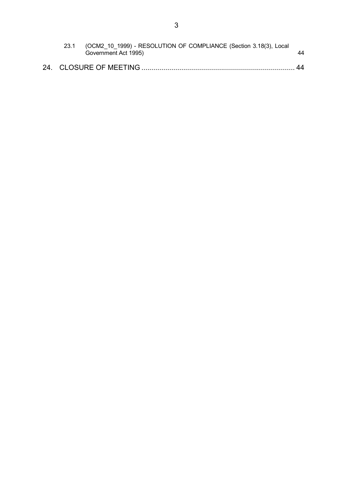| 23.1 | (OCM2 10 1999) - RESOLUTION OF COMPLIANCE (Section 3.18(3), Local<br>Government Act 1995) | 44 |
|------|-------------------------------------------------------------------------------------------|----|
|      |                                                                                           | 44 |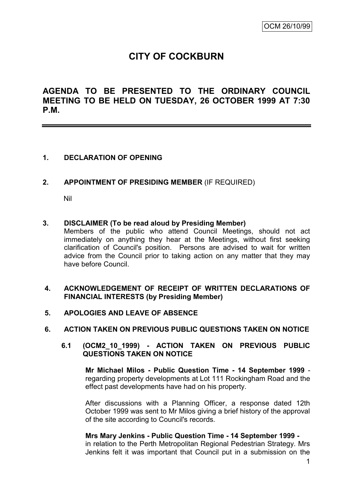# **CITY OF COCKBURN**

**AGENDA TO BE PRESENTED TO THE ORDINARY COUNCIL MEETING TO BE HELD ON TUESDAY, 26 OCTOBER 1999 AT 7:30 P.M.**

## **1. DECLARATION OF OPENING**

### **2. APPOINTMENT OF PRESIDING MEMBER** (IF REQUIRED)

Nil

#### **3. DISCLAIMER (To be read aloud by Presiding Member)**

Members of the public who attend Council Meetings, should not act immediately on anything they hear at the Meetings, without first seeking clarification of Council's position. Persons are advised to wait for written advice from the Council prior to taking action on any matter that they may have before Council.

### **4. ACKNOWLEDGEMENT OF RECEIPT OF WRITTEN DECLARATIONS OF FINANCIAL INTERESTS (by Presiding Member)**

**5. APOLOGIES AND LEAVE OF ABSENCE**

#### **6. ACTION TAKEN ON PREVIOUS PUBLIC QUESTIONS TAKEN ON NOTICE**

#### **6.1 (OCM2\_10\_1999) - ACTION TAKEN ON PREVIOUS PUBLIC QUESTIONS TAKEN ON NOTICE**

**Mr Michael Milos - Public Question Time - 14 September 1999** regarding property developments at Lot 111 Rockingham Road and the effect past developments have had on his property.

After discussions with a Planning Officer, a response dated 12th October 1999 was sent to Mr Milos giving a brief history of the approval of the site according to Council's records.

#### **Mrs Mary Jenkins - Public Question Time - 14 September 1999 -**

in relation to the Perth Metropolitan Regional Pedestrian Strategy. Mrs Jenkins felt it was important that Council put in a submission on the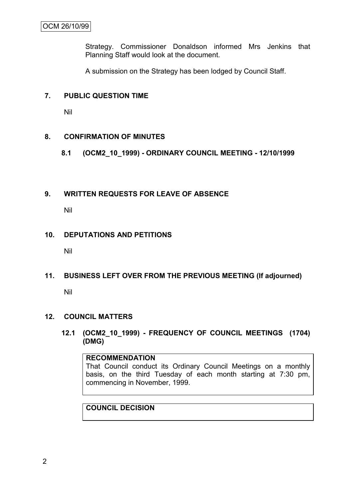Strategy. Commissioner Donaldson informed Mrs Jenkins that Planning Staff would look at the document.

A submission on the Strategy has been lodged by Council Staff.

#### **7. PUBLIC QUESTION TIME**

Nil

### **8. CONFIRMATION OF MINUTES**

**8.1 (OCM2\_10\_1999) - ORDINARY COUNCIL MEETING - 12/10/1999**

#### **9. WRITTEN REQUESTS FOR LEAVE OF ABSENCE**

Nil

#### **10. DEPUTATIONS AND PETITIONS**

Nil

### **11. BUSINESS LEFT OVER FROM THE PREVIOUS MEETING (If adjourned)**

Nil

### **12. COUNCIL MATTERS**

**12.1 (OCM2\_10\_1999) - FREQUENCY OF COUNCIL MEETINGS (1704) (DMG)**

#### **RECOMMENDATION**

That Council conduct its Ordinary Council Meetings on a monthly basis, on the third Tuesday of each month starting at 7:30 pm, commencing in November, 1999.

**COUNCIL DECISION**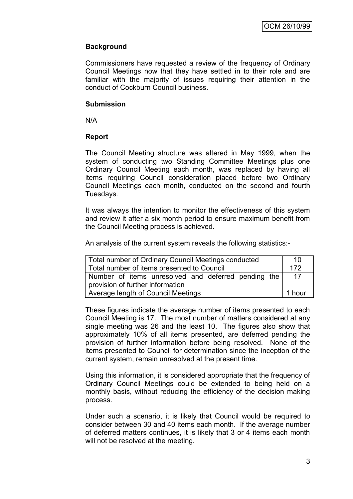# **Background**

Commissioners have requested a review of the frequency of Ordinary Council Meetings now that they have settled in to their role and are familiar with the majority of issues requiring their attention in the conduct of Cockburn Council business.

#### **Submission**

N/A

### **Report**

The Council Meeting structure was altered in May 1999, when the system of conducting two Standing Committee Meetings plus one Ordinary Council Meeting each month, was replaced by having all items requiring Council consideration placed before two Ordinary Council Meetings each month, conducted on the second and fourth Tuesdays.

It was always the intention to monitor the effectiveness of this system and review it after a six month period to ensure maximum benefit from the Council Meeting process is achieved.

An analysis of the current system reveals the following statistics:-

| Total number of Ordinary Council Meetings conducted |  |  |  |
|-----------------------------------------------------|--|--|--|
| Total number of items presented to Council          |  |  |  |
| Number of items unresolved and deferred pending the |  |  |  |
| provision of further information                    |  |  |  |
| Average length of Council Meetings<br>1 hour        |  |  |  |

These figures indicate the average number of items presented to each Council Meeting is 17. The most number of matters considered at any single meeting was 26 and the least 10. The figures also show that approximately 10% of all items presented, are deferred pending the provision of further information before being resolved. None of the items presented to Council for determination since the inception of the current system, remain unresolved at the present time.

Using this information, it is considered appropriate that the frequency of Ordinary Council Meetings could be extended to being held on a monthly basis, without reducing the efficiency of the decision making process.

Under such a scenario, it is likely that Council would be required to consider between 30 and 40 items each month. If the average number of deferred matters continues, it is likely that 3 or 4 items each month will not be resolved at the meeting.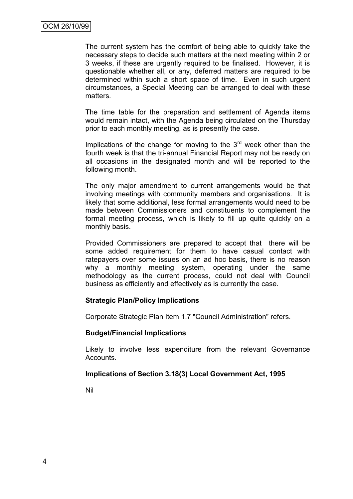The current system has the comfort of being able to quickly take the necessary steps to decide such matters at the next meeting within 2 or 3 weeks, if these are urgently required to be finalised. However, it is questionable whether all, or any, deferred matters are required to be determined within such a short space of time. Even in such urgent circumstances, a Special Meeting can be arranged to deal with these matters.

The time table for the preparation and settlement of Agenda items would remain intact, with the Agenda being circulated on the Thursday prior to each monthly meeting, as is presently the case.

Implications of the change for moving to the  $3<sup>rd</sup>$  week other than the fourth week is that the tri-annual Financial Report may not be ready on all occasions in the designated month and will be reported to the following month.

The only major amendment to current arrangements would be that involving meetings with community members and organisations. It is likely that some additional, less formal arrangements would need to be made between Commissioners and constituents to complement the formal meeting process, which is likely to fill up quite quickly on a monthly basis.

Provided Commissioners are prepared to accept that there will be some added requirement for them to have casual contact with ratepayers over some issues on an ad hoc basis, there is no reason why a monthly meeting system, operating under the same methodology as the current process, could not deal with Council business as efficiently and effectively as is currently the case.

### **Strategic Plan/Policy Implications**

Corporate Strategic Plan Item 1.7 "Council Administration" refers.

#### **Budget/Financial Implications**

Likely to involve less expenditure from the relevant Governance Accounts.

### **Implications of Section 3.18(3) Local Government Act, 1995**

Nil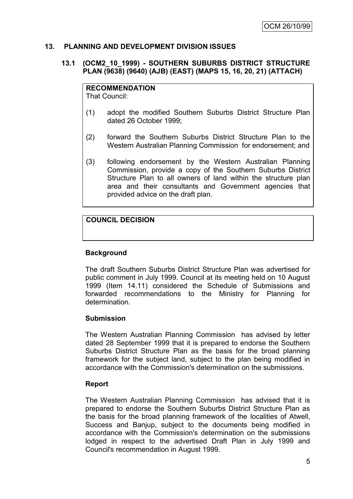## **13. PLANNING AND DEVELOPMENT DIVISION ISSUES**

### **13.1 (OCM2\_10\_1999) - SOUTHERN SUBURBS DISTRICT STRUCTURE PLAN (9638) (9640) (AJB) (EAST) (MAPS 15, 16, 20, 21) (ATTACH)**

# **RECOMMENDATION**

That Council:

- (1) adopt the modified Southern Suburbs District Structure Plan dated 26 October 1999;
- (2) forward the Southern Suburbs District Structure Plan to the Western Australian Planning Commission for endorsement; and
- (3) following endorsement by the Western Australian Planning Commission, provide a copy of the Southern Suburbs District Structure Plan to all owners of land within the structure plan area and their consultants and Government agencies that provided advice on the draft plan.

# **COUNCIL DECISION**

### **Background**

The draft Southern Suburbs District Structure Plan was advertised for public comment in July 1999. Council at its meeting held on 10 August 1999 (Item 14.11) considered the Schedule of Submissions and forwarded recommendations to the Ministry for Planning for determination.

### **Submission**

The Western Australian Planning Commission has advised by letter dated 28 September 1999 that it is prepared to endorse the Southern Suburbs District Structure Plan as the basis for the broad planning framework for the subject land, subject to the plan being modified in accordance with the Commission's determination on the submissions.

### **Report**

The Western Australian Planning Commission has advised that it is prepared to endorse the Southern Suburbs District Structure Plan as the basis for the broad planning framework of the localities of Atwell, Success and Banjup, subject to the documents being modified in accordance with the Commission's determination on the submissions lodged in respect to the advertised Draft Plan in July 1999 and Council's recommendation in August 1999.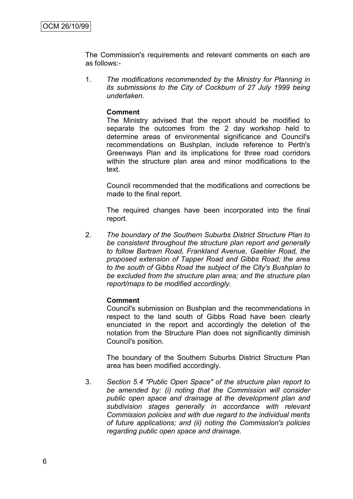The Commission's requirements and relevant comments on each are as follows:-

1. *The modifications recommended by the Ministry for Planning in its submissions to the City of Cockburn of 27 July 1999 being undertaken.*

#### **Comment**

The Ministry advised that the report should be modified to separate the outcomes from the 2 day workshop held to determine areas of environmental significance and Council's recommendations on Bushplan, include reference to Perth's Greenways Plan and its implications for three road corridors within the structure plan area and minor modifications to the text.

Council recommended that the modifications and corrections be made to the final report.

The required changes have been incorporated into the final report.

2. *The boundary of the Southern Suburbs District Structure Plan to be consistent throughout the structure plan report and generally to follow Bartram Road, Frankland Avenue, Gaebler Road, the proposed extension of Tapper Road and Gibbs Road; the area to the south of Gibbs Road the subject of the City's Bushplan to be excluded from the structure plan area; and the structure plan report/maps to be modified accordingly.*

### **Comment**

Council's submission on Bushplan and the recommendations in respect to the land south of Gibbs Road have been clearly enunciated in the report and accordingly the deletion of the notation from the Structure Plan does not significantly diminish Council's position.

The boundary of the Southern Suburbs District Structure Plan area has been modified accordingly.

3. *Section 5.4 "Public Open Space" of the structure plan report to be amended by: (i) noting that the Commission will consider public open space and drainage at the development plan and subdivision stages generally in accordance with relevant Commission policies and with due regard to the individual merits of future applications; and (ii) noting the Commission's policies regarding public open space and drainage.*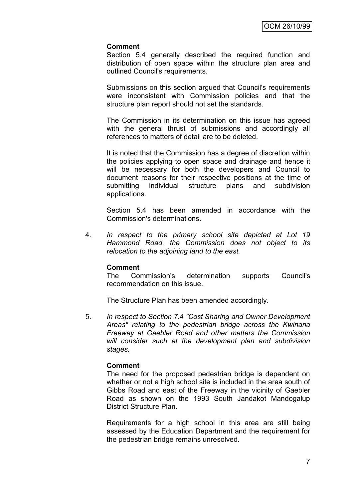#### **Comment**

Section 5.4 generally described the required function and distribution of open space within the structure plan area and outlined Council's requirements.

Submissions on this section argued that Council's requirements were inconsistent with Commission policies and that the structure plan report should not set the standards.

The Commission in its determination on this issue has agreed with the general thrust of submissions and accordingly all references to matters of detail are to be deleted.

It is noted that the Commission has a degree of discretion within the policies applying to open space and drainage and hence it will be necessary for both the developers and Council to document reasons for their respective positions at the time of submitting individual structure plans and subdivision applications.

Section 5.4 has been amended in accordance with the Commission's determinations.

4. *In respect to the primary school site depicted at Lot 19 Hammond Road, the Commission does not object to its relocation to the adjoining land to the east.*

#### **Comment**

The Commission's determination supports Council's recommendation on this issue.

The Structure Plan has been amended accordingly.

5. *In respect to Section 7.4 "Cost Sharing and Owner Development Areas" relating to the pedestrian bridge across the Kwinana Freeway at Gaebler Road and other matters the Commission will consider such at the development plan and subdivision stages.*

#### **Comment**

The need for the proposed pedestrian bridge is dependent on whether or not a high school site is included in the area south of Gibbs Road and east of the Freeway in the vicinity of Gaebler Road as shown on the 1993 South Jandakot Mandogalup District Structure Plan.

Requirements for a high school in this area are still being assessed by the Education Department and the requirement for the pedestrian bridge remains unresolved.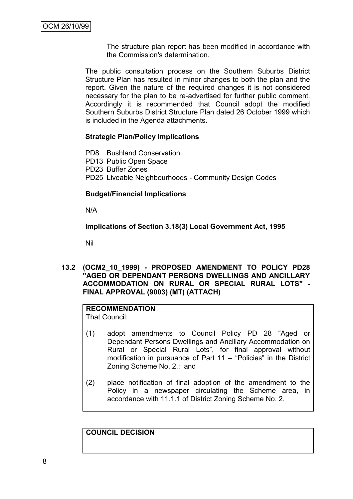The structure plan report has been modified in accordance with the Commission's determination.

The public consultation process on the Southern Suburbs District Structure Plan has resulted in minor changes to both the plan and the report. Given the nature of the required changes it is not considered necessary for the plan to be re-advertised for further public comment. Accordingly it is recommended that Council adopt the modified Southern Suburbs District Structure Plan dated 26 October 1999 which is included in the Agenda attachments.

### **Strategic Plan/Policy Implications**

PD8 Bushland Conservation

PD13 Public Open Space

PD23 Buffer Zones

PD25 Liveable Neighbourhoods - Community Design Codes

## **Budget/Financial Implications**

N/A

## **Implications of Section 3.18(3) Local Government Act, 1995**

Nil

**13.2 (OCM2\_10\_1999) - PROPOSED AMENDMENT TO POLICY PD28 "AGED OR DEPENDANT PERSONS DWELLINGS AND ANCILLARY ACCOMMODATION ON RURAL OR SPECIAL RURAL LOTS" - FINAL APPROVAL (9003) (MT) (ATTACH)**

# **RECOMMENDATION**

That Council:

- (1) adopt amendments to Council Policy PD 28 "Aged or Dependant Persons Dwellings and Ancillary Accommodation on Rural or Special Rural Lots", for final approval without modification in pursuance of Part 11 – "Policies" in the District Zoning Scheme No. 2.; and
- (2) place notification of final adoption of the amendment to the Policy in a newspaper circulating the Scheme area, in accordance with 11.1.1 of District Zoning Scheme No. 2.

**COUNCIL DECISION**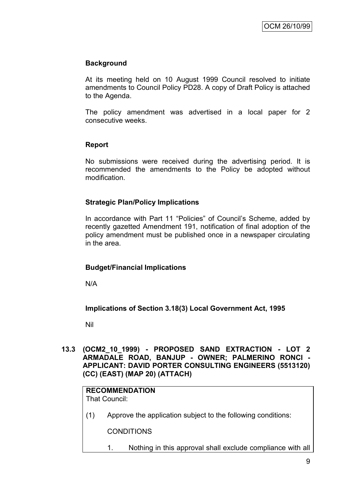# **Background**

At its meeting held on 10 August 1999 Council resolved to initiate amendments to Council Policy PD28. A copy of Draft Policy is attached to the Agenda.

The policy amendment was advertised in a local paper for 2 consecutive weeks.

## **Report**

No submissions were received during the advertising period. It is recommended the amendments to the Policy be adopted without modification.

### **Strategic Plan/Policy Implications**

In accordance with Part 11 "Policies" of Council's Scheme, added by recently gazetted Amendment 191, notification of final adoption of the policy amendment must be published once in a newspaper circulating in the area.

# **Budget/Financial Implications**

N/A

# **Implications of Section 3.18(3) Local Government Act, 1995**

Nil

### **13.3 (OCM2\_10\_1999) - PROPOSED SAND EXTRACTION - LOT 2 ARMADALE ROAD, BANJUP - OWNER; PALMERINO RONCI - APPLICANT: DAVID PORTER CONSULTING ENGINEERS (5513120) (CC) (EAST) (MAP 20) (ATTACH)**

# **RECOMMENDATION**

That Council:

(1) Approve the application subject to the following conditions:

**CONDITIONS** 

1. Nothing in this approval shall exclude compliance with all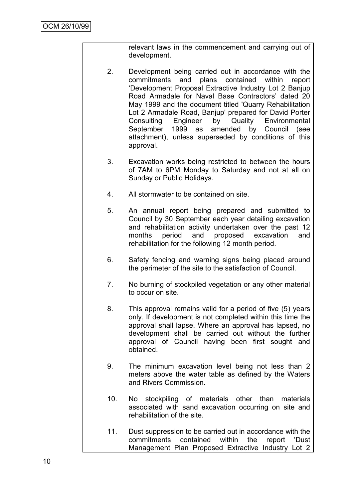relevant laws in the commencement and carrying out of development.

- 2. Development being carried out in accordance with the commitments and plans contained within report "Development Proposal Extractive Industry Lot 2 Banjup Road Armadale for Naval Base Contractors" dated 20 May 1999 and the document titled 'Quarry Rehabilitation Lot 2 Armadale Road, Banjup' prepared for David Porter Consulting Engineer by Quality Environmental September 1999 as amended by Council (see attachment), unless superseded by conditions of this approval.
- 3. Excavation works being restricted to between the hours of 7AM to 6PM Monday to Saturday and not at all on Sunday or Public Holidays.
- 4. All stormwater to be contained on site.
- 5. An annual report being prepared and submitted to Council by 30 September each year detailing excavation and rehabilitation activity undertaken over the past 12 months period and proposed excavation and rehabilitation for the following 12 month period.
- 6. Safety fencing and warning signs being placed around the perimeter of the site to the satisfaction of Council.
- 7. No burning of stockpiled vegetation or any other material to occur on site.
- 8. This approval remains valid for a period of five (5) years only. If development is not completed within this time the approval shall lapse. Where an approval has lapsed, no development shall be carried out without the further approval of Council having been first sought and obtained.
- 9. The minimum excavation level being not less than 2 meters above the water table as defined by the Waters and Rivers Commission.
- 10. No stockpiling of materials other than materials associated with sand excavation occurring on site and rehabilitation of the site.
- 11. Dust suppression to be carried out in accordance with the commitments contained within the report 'Dust Management Plan Proposed Extractive Industry Lot 2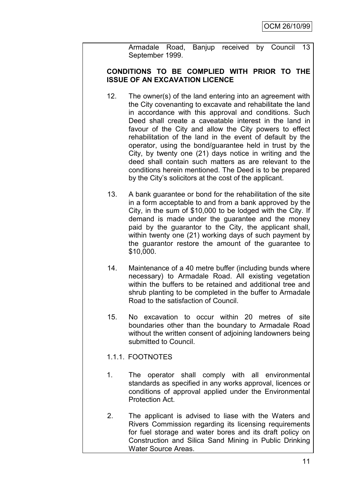Armadale Road, Banjup received by Council 13 September 1999.

## **CONDITIONS TO BE COMPLIED WITH PRIOR TO THE ISSUE OF AN EXCAVATION LICENCE**

- 12. The owner(s) of the land entering into an agreement with the City covenanting to excavate and rehabilitate the land in accordance with this approval and conditions. Such Deed shall create a caveatable interest in the land in favour of the City and allow the City powers to effect rehabilitation of the land in the event of default by the operator, using the bond/guarantee held in trust by the City, by twenty one (21) days notice in writing and the deed shall contain such matters as are relevant to the conditions herein mentioned. The Deed is to be prepared by the City"s solicitors at the cost of the applicant.
- 13. A bank guarantee or bond for the rehabilitation of the site in a form acceptable to and from a bank approved by the City, in the sum of \$10,000 to be lodged with the City. If demand is made under the guarantee and the money paid by the guarantor to the City, the applicant shall, within twenty one (21) working days of such payment by the guarantor restore the amount of the guarantee to \$10,000.
- 14. Maintenance of a 40 metre buffer (including bunds where necessary) to Armadale Road. All existing vegetation within the buffers to be retained and additional tree and shrub planting to be completed in the buffer to Armadale Road to the satisfaction of Council.
- 15. No excavation to occur within 20 metres of site boundaries other than the boundary to Armadale Road without the written consent of adjoining landowners being submitted to Council.

# 1.1.1. FOOTNOTES

- 1. The operator shall comply with all environmental standards as specified in any works approval, licences or conditions of approval applied under the Environmental Protection Act.
- 2. The applicant is advised to liase with the Waters and Rivers Commission regarding its licensing requirements for fuel storage and water bores and its draft policy on Construction and Silica Sand Mining in Public Drinking Water Source Areas.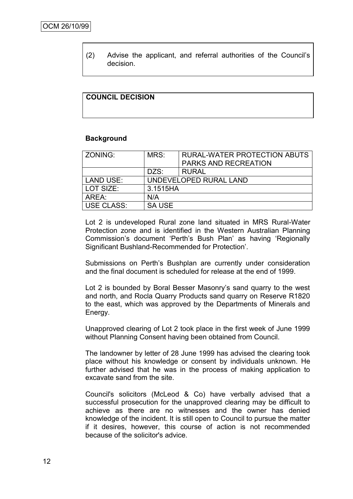(2) Advise the applicant, and referral authorities of the Council"s decision.

## **COUNCIL DECISION**

#### **Background**

| ZONING:          | MRS:                   | <b>RURAL-WATER PROTECTION ABUTS</b> |  |
|------------------|------------------------|-------------------------------------|--|
|                  |                        | <b>PARKS AND RECREATION</b>         |  |
|                  | DZS:                   | <b>RURAL</b>                        |  |
| <b>LAND USE:</b> | UNDEVELOPED RURAL LAND |                                     |  |
| LOT SIZE:        | 3.1515HA               |                                     |  |
| AREA:            | N/A                    |                                     |  |
| USE CLASS:       | <b>SA USE</b>          |                                     |  |
|                  |                        |                                     |  |

Lot 2 is undeveloped Rural zone land situated in MRS Rural-Water Protection zone and is identified in the Western Australian Planning Commission"s document "Perth"s Bush Plan" as having "Regionally Significant Bushland-Recommended for Protection".

Submissions on Perth"s Bushplan are currently under consideration and the final document is scheduled for release at the end of 1999.

Lot 2 is bounded by Boral Besser Masonry"s sand quarry to the west and north, and Rocla Quarry Products sand quarry on Reserve R1820 to the east, which was approved by the Departments of Minerals and Energy.

Unapproved clearing of Lot 2 took place in the first week of June 1999 without Planning Consent having been obtained from Council.

The landowner by letter of 28 June 1999 has advised the clearing took place without his knowledge or consent by individuals unknown. He further advised that he was in the process of making application to excavate sand from the site.

Council's solicitors (McLeod & Co) have verbally advised that a successful prosecution for the unapproved clearing may be difficult to achieve as there are no witnesses and the owner has denied knowledge of the incident. It is still open to Council to pursue the matter if it desires, however, this course of action is not recommended because of the solicitor's advice.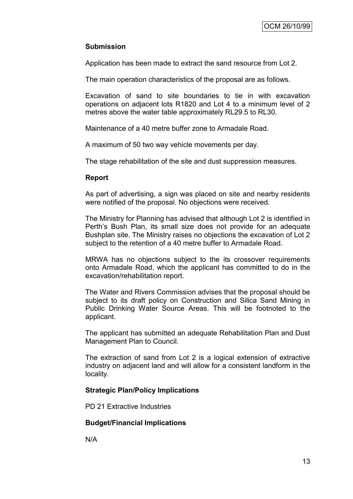# **Submission**

Application has been made to extract the sand resource from Lot 2.

The main operation characteristics of the proposal are as follows.

Excavation of sand to site boundaries to tie in with excavation operations on adjacent lots R1820 and Lot 4 to a minimum level of 2 metres above the water table approximately RL29.5 to RL30.

Maintenance of a 40 metre buffer zone to Armadale Road.

A maximum of 50 two way vehicle movements per day.

The stage rehabilitation of the site and dust suppression measures.

### **Report**

As part of advertising, a sign was placed on site and nearby residents were notified of the proposal. No objections were received.

The Ministry for Planning has advised that although Lot 2 is identified in Perth's Bush Plan, its small size does not provide for an adequate Bushplan site. The Ministry raises no objections the excavation of Lot 2 subject to the retention of a 40 metre buffer to Armadale Road.

MRWA has no objections subject to the its crossover requirements onto Armadale Road, which the applicant has committed to do in the excavation/rehabilitation report.

The Water and Rivers Commission advises that the proposal should be subject to its draft policy on Construction and Silica Sand Mining in Public Drinking Water Source Areas. This will be footnoted to the applicant.

The applicant has submitted an adequate Rehabilitation Plan and Dust Management Plan to Council.

The extraction of sand from Lot 2 is a logical extension of extractive industry on adjacent land and will allow for a consistent landform in the locality.

### **Strategic Plan/Policy Implications**

PD 21 Extractive Industries

### **Budget/Financial Implications**

N/A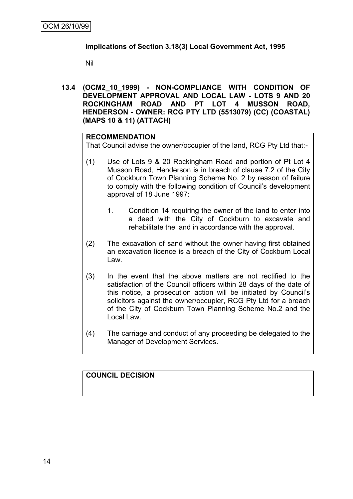## **Implications of Section 3.18(3) Local Government Act, 1995**

Nil

**13.4 (OCM2\_10\_1999) - NON-COMPLIANCE WITH CONDITION OF DEVELOPMENT APPROVAL AND LOCAL LAW - LOTS 9 AND 20 ROCKINGHAM ROAD AND PT LOT 4 MUSSON ROAD, HENDERSON - OWNER: RCG PTY LTD (5513079) (CC) (COASTAL) (MAPS 10 & 11) (ATTACH)**

#### **RECOMMENDATION**

That Council advise the owner/occupier of the land, RCG Pty Ltd that:-

- (1) Use of Lots 9 & 20 Rockingham Road and portion of Pt Lot 4 Musson Road, Henderson is in breach of clause 7.2 of the City of Cockburn Town Planning Scheme No. 2 by reason of failure to comply with the following condition of Council"s development approval of 18 June 1997:
	- 1. Condition 14 requiring the owner of the land to enter into a deed with the City of Cockburn to excavate and rehabilitate the land in accordance with the approval.
- (2) The excavation of sand without the owner having first obtained an excavation licence is a breach of the City of Cockburn Local Law.
- (3) In the event that the above matters are not rectified to the satisfaction of the Council officers within 28 days of the date of this notice, a prosecution action will be initiated by Council"s solicitors against the owner/occupier, RCG Pty Ltd for a breach of the City of Cockburn Town Planning Scheme No.2 and the Local Law.
- (4) The carriage and conduct of any proceeding be delegated to the Manager of Development Services.

# **COUNCIL DECISION**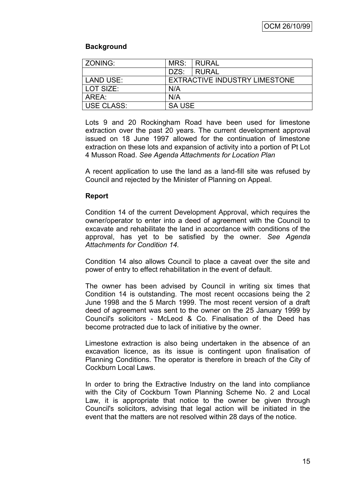## **Background**

| l ZONING:                          | MRS: | I RURAL                       |  |
|------------------------------------|------|-------------------------------|--|
|                                    | DZS: | I RURAI.                      |  |
| LAND USE:                          |      | EXTRACTIVE INDUSTRY LIMESTONE |  |
| LOT SIZE:                          | N/A  |                               |  |
| AREA:                              | N/A  |                               |  |
| <b>USE CLASS:</b><br><b>SA USE</b> |      |                               |  |

Lots 9 and 20 Rockingham Road have been used for limestone extraction over the past 20 years. The current development approval issued on 18 June 1997 allowed for the continuation of limestone extraction on these lots and expansion of activity into a portion of Pt Lot 4 Musson Road. *See Agenda Attachments for Location Plan*

A recent application to use the land as a land-fill site was refused by Council and rejected by the Minister of Planning on Appeal.

## **Report**

Condition 14 of the current Development Approval, which requires the owner/operator to enter into a deed of agreement with the Council to excavate and rehabilitate the land in accordance with conditions of the approval, has yet to be satisfied by the owner. *See Agenda Attachments for Condition 14.*

Condition 14 also allows Council to place a caveat over the site and power of entry to effect rehabilitation in the event of default.

The owner has been advised by Council in writing six times that Condition 14 is outstanding. The most recent occasions being the 2 June 1998 and the 5 March 1999. The most recent version of a draft deed of agreement was sent to the owner on the 25 January 1999 by Council's solicitors - McLeod & Co. Finalisation of the Deed has become protracted due to lack of initiative by the owner.

Limestone extraction is also being undertaken in the absence of an excavation licence, as its issue is contingent upon finalisation of Planning Conditions. The operator is therefore in breach of the City of Cockburn Local Laws.

In order to bring the Extractive Industry on the land into compliance with the City of Cockburn Town Planning Scheme No. 2 and Local Law, it is appropriate that notice to the owner be given through Council's solicitors, advising that legal action will be initiated in the event that the matters are not resolved within 28 days of the notice.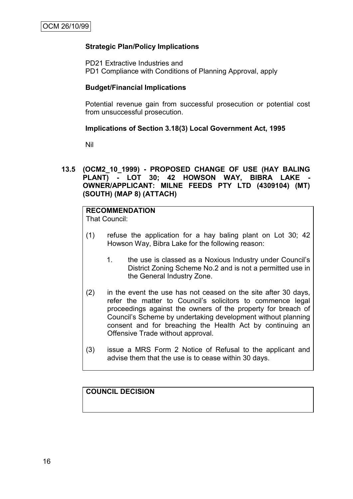## **Strategic Plan/Policy Implications**

PD21 Extractive Industries and PD1 Compliance with Conditions of Planning Approval, apply

#### **Budget/Financial Implications**

Potential revenue gain from successful prosecution or potential cost from unsuccessful prosecution.

#### **Implications of Section 3.18(3) Local Government Act, 1995**

Nil

### **13.5 (OCM2\_10\_1999) - PROPOSED CHANGE OF USE (HAY BALING**  PLANT) - LOT 30; 42 HOWSON WAY, BIBRA LAKE **OWNER/APPLICANT: MILNE FEEDS PTY LTD (4309104) (MT) (SOUTH) (MAP 8) (ATTACH)**

# **RECOMMENDATION**

That Council:

- (1) refuse the application for a hay baling plant on Lot 30; 42 Howson Way, Bibra Lake for the following reason:
	- 1. the use is classed as a Noxious Industry under Council"s District Zoning Scheme No.2 and is not a permitted use in the General Industry Zone.
- (2) in the event the use has not ceased on the site after 30 days, refer the matter to Council"s solicitors to commence legal proceedings against the owners of the property for breach of Council"s Scheme by undertaking development without planning consent and for breaching the Health Act by continuing an Offensive Trade without approval.
- (3) issue a MRS Form 2 Notice of Refusal to the applicant and advise them that the use is to cease within 30 days.

# **COUNCIL DECISION**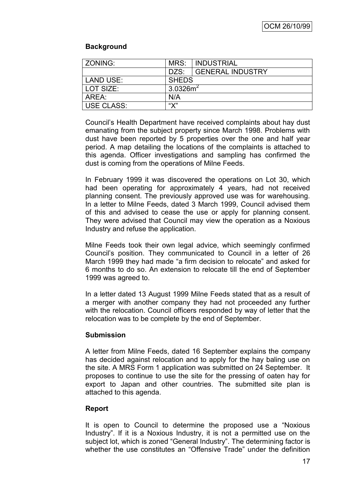# **Background**

| ZONING:                          | MRS: | <b>INDUSTRIAL</b>       |
|----------------------------------|------|-------------------------|
|                                  | DZS: | <b>GENERAL INDUSTRY</b> |
| <b>LAND USE:</b><br><b>SHEDS</b> |      |                         |
| $3.0326m^2$<br>LOT SIZE:         |      |                         |
| AREA:                            | N/A  |                         |
| <b>USE CLASS:</b>                | "Х"  |                         |

Council"s Health Department have received complaints about hay dust emanating from the subject property since March 1998. Problems with dust have been reported by 5 properties over the one and half year period. A map detailing the locations of the complaints is attached to this agenda. Officer investigations and sampling has confirmed the dust is coming from the operations of Milne Feeds.

In February 1999 it was discovered the operations on Lot 30, which had been operating for approximately 4 years, had not received planning consent. The previously approved use was for warehousing. In a letter to Milne Feeds, dated 3 March 1999, Council advised them of this and advised to cease the use or apply for planning consent. They were advised that Council may view the operation as a Noxious Industry and refuse the application.

Milne Feeds took their own legal advice, which seemingly confirmed Council"s position. They communicated to Council in a letter of 26 March 1999 they had made "a firm decision to relocate" and asked for 6 months to do so. An extension to relocate till the end of September 1999 was agreed to.

In a letter dated 13 August 1999 Milne Feeds stated that as a result of a merger with another company they had not proceeded any further with the relocation. Council officers responded by way of letter that the relocation was to be complete by the end of September.

### **Submission**

A letter from Milne Feeds, dated 16 September explains the company has decided against relocation and to apply for the hay baling use on the site. A MRS Form 1 application was submitted on 24 September. It proposes to continue to use the site for the pressing of oaten hay for export to Japan and other countries. The submitted site plan is attached to this agenda.

# **Report**

It is open to Council to determine the proposed use a "Noxious Industry". If it is a Noxious Industry, it is not a permitted use on the subject lot, which is zoned "General Industry". The determining factor is whether the use constitutes an "Offensive Trade" under the definition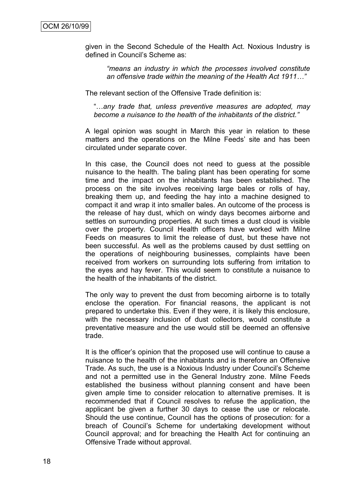given in the Second Schedule of the Health Act. Noxious Industry is defined in Council"s Scheme as:

*"means an industry in which the processes involved constitute an offensive trade within the meaning of the Health Act 1911…"*

The relevant section of the Offensive Trade definition is:

"…*any trade that, unless preventive measures are adopted, may become a nuisance to the health of the inhabitants of the district."* 

A legal opinion was sought in March this year in relation to these matters and the operations on the Milne Feeds" site and has been circulated under separate cover.

In this case, the Council does not need to guess at the possible nuisance to the health. The baling plant has been operating for some time and the impact on the inhabitants has been established. The process on the site involves receiving large bales or rolls of hay, breaking them up, and feeding the hay into a machine designed to compact it and wrap it into smaller bales. An outcome of the process is the release of hay dust, which on windy days becomes airborne and settles on surrounding properties. At such times a dust cloud is visible over the property. Council Health officers have worked with Milne Feeds on measures to limit the release of dust, but these have not been successful. As well as the problems caused by dust settling on the operations of neighbouring businesses, complaints have been received from workers on surrounding lots suffering from irritation to the eyes and hay fever. This would seem to constitute a nuisance to the health of the inhabitants of the district.

The only way to prevent the dust from becoming airborne is to totally enclose the operation. For financial reasons, the applicant is not prepared to undertake this. Even if they were, it is likely this enclosure, with the necessary inclusion of dust collectors, would constitute a preventative measure and the use would still be deemed an offensive trade.

It is the officer"s opinion that the proposed use will continue to cause a nuisance to the health of the inhabitants and is therefore an Offensive Trade. As such, the use is a Noxious Industry under Council"s Scheme and not a permitted use in the General Industry zone. Milne Feeds established the business without planning consent and have been given ample time to consider relocation to alternative premises. It is recommended that if Council resolves to refuse the application, the applicant be given a further 30 days to cease the use or relocate. Should the use continue, Council has the options of prosecution: for a breach of Council"s Scheme for undertaking development without Council approval; and for breaching the Health Act for continuing an Offensive Trade without approval.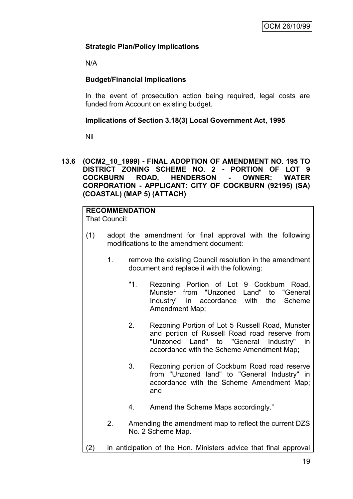## **Strategic Plan/Policy Implications**

N/A

# **Budget/Financial Implications**

In the event of prosecution action being required, legal costs are funded from Account on existing budget.

## **Implications of Section 3.18(3) Local Government Act, 1995**

Nil

**13.6 (OCM2\_10\_1999) - FINAL ADOPTION OF AMENDMENT NO. 195 TO DISTRICT ZONING SCHEME NO. 2 - PORTION OF LOT 9 COCKBURN ROAD, HENDERSON - OWNER: WATER CORPORATION - APPLICANT: CITY OF COCKBURN (92195) (SA) (COASTAL) (MAP 5) (ATTACH)**

# **RECOMMENDATION**

That Council:

- (1) adopt the amendment for final approval with the following modifications to the amendment document:
	- 1. remove the existing Council resolution in the amendment document and replace it with the following:
		- "1. Rezoning Portion of Lot 9 Cockburn Road, Munster from "Unzoned Land" to "General Industry" in accordance with the Scheme Amendment Map;
		- 2. Rezoning Portion of Lot 5 Russell Road, Munster and portion of Russell Road road reserve from "Unzoned Land" to "General Industry" in accordance with the Scheme Amendment Map;
		- 3. Rezoning portion of Cockburn Road road reserve from "Unzoned land" to "General Industry" in accordance with the Scheme Amendment Map; and
		- 4. Amend the Scheme Maps accordingly."
	- 2. Amending the amendment map to reflect the current DZS No. 2 Scheme Map.
- (2) in anticipation of the Hon. Ministers advice that final approval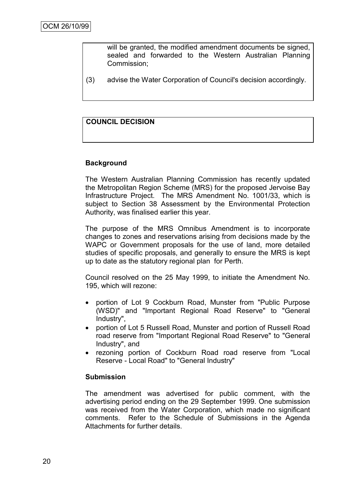will be granted, the modified amendment documents be signed, sealed and forwarded to the Western Australian Planning Commission;

(3) advise the Water Corporation of Council's decision accordingly.

# **COUNCIL DECISION**

### **Background**

The Western Australian Planning Commission has recently updated the Metropolitan Region Scheme (MRS) for the proposed Jervoise Bay Infrastructure Project. The MRS Amendment No. 1001/33, which is subject to Section 38 Assessment by the Environmental Protection Authority, was finalised earlier this year.

The purpose of the MRS Omnibus Amendment is to incorporate changes to zones and reservations arising from decisions made by the WAPC or Government proposals for the use of land, more detailed studies of specific proposals, and generally to ensure the MRS is kept up to date as the statutory regional plan for Perth.

Council resolved on the 25 May 1999, to initiate the Amendment No. 195, which will rezone:

- portion of Lot 9 Cockburn Road, Munster from "Public Purpose (WSD)" and "Important Regional Road Reserve" to "General Industry",
- portion of Lot 5 Russell Road, Munster and portion of Russell Road road reserve from "Important Regional Road Reserve" to "General Industry", and
- rezoning portion of Cockburn Road road reserve from "Local Reserve - Local Road" to "General Industry"

#### **Submission**

The amendment was advertised for public comment, with the advertising period ending on the 29 September 1999. One submission was received from the Water Corporation, which made no significant comments. Refer to the Schedule of Submissions in the Agenda Attachments for further details.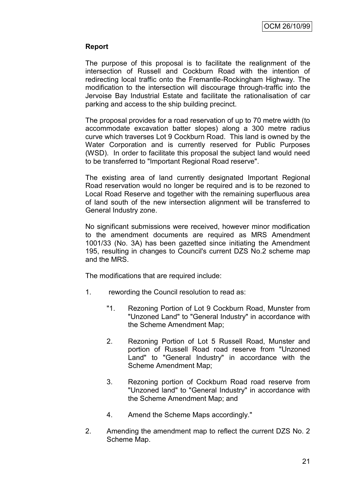## **Report**

The purpose of this proposal is to facilitate the realignment of the intersection of Russell and Cockburn Road with the intention of redirecting local traffic onto the Fremantle-Rockingham Highway. The modification to the intersection will discourage through-traffic into the Jervoise Bay Industrial Estate and facilitate the rationalisation of car parking and access to the ship building precinct.

The proposal provides for a road reservation of up to 70 metre width (to accommodate excavation batter slopes) along a 300 metre radius curve which traverses Lot 9 Cockburn Road. This land is owned by the Water Corporation and is currently reserved for Public Purposes (WSD). In order to facilitate this proposal the subject land would need to be transferred to "Important Regional Road reserve".

The existing area of land currently designated Important Regional Road reservation would no longer be required and is to be rezoned to Local Road Reserve and together with the remaining superfluous area of land south of the new intersection alignment will be transferred to General Industry zone.

No significant submissions were received, however minor modification to the amendment documents are required as MRS Amendment 1001/33 (No. 3A) has been gazetted since initiating the Amendment 195, resulting in changes to Council's current DZS No.2 scheme map and the MRS.

The modifications that are required include:

- 1. rewording the Council resolution to read as:
	- "1. Rezoning Portion of Lot 9 Cockburn Road, Munster from "Unzoned Land" to "General Industry" in accordance with the Scheme Amendment Map;
	- 2. Rezoning Portion of Lot 5 Russell Road, Munster and portion of Russell Road road reserve from "Unzoned Land" to "General Industry" in accordance with the Scheme Amendment Map;
	- 3. Rezoning portion of Cockburn Road road reserve from "Unzoned land" to "General Industry" in accordance with the Scheme Amendment Map; and
	- 4. Amend the Scheme Maps accordingly."
- 2. Amending the amendment map to reflect the current DZS No. 2 Scheme Map.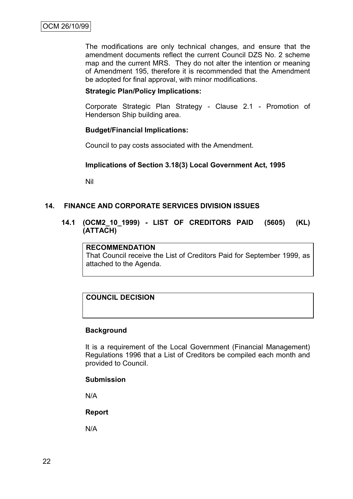The modifications are only technical changes, and ensure that the amendment documents reflect the current Council DZS No. 2 scheme map and the current MRS. They do not alter the intention or meaning of Amendment 195, therefore it is recommended that the Amendment be adopted for final approval, with minor modifications.

### **Strategic Plan/Policy Implications:**

Corporate Strategic Plan Strategy - Clause 2.1 - Promotion of Henderson Ship building area.

#### **Budget/Financial Implications:**

Council to pay costs associated with the Amendment.

#### **Implications of Section 3.18(3) Local Government Act, 1995**

Nil

## **14. FINANCE AND CORPORATE SERVICES DIVISION ISSUES**

**14.1 (OCM2\_10\_1999) - LIST OF CREDITORS PAID (5605) (KL) (ATTACH)**

## **RECOMMENDATION**

That Council receive the List of Creditors Paid for September 1999, as attached to the Agenda.

# **COUNCIL DECISION**

#### **Background**

It is a requirement of the Local Government (Financial Management) Regulations 1996 that a List of Creditors be compiled each month and provided to Council.

#### **Submission**

N/A

**Report**

N/A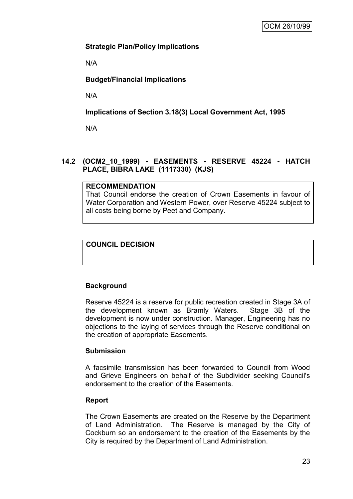# **Strategic Plan/Policy Implications**

N/A

# **Budget/Financial Implications**

N/A

**Implications of Section 3.18(3) Local Government Act, 1995**

N/A

# **14.2 (OCM2\_10\_1999) - EASEMENTS - RESERVE 45224 - HATCH PLACE, BIBRA LAKE (1117330) (KJS)**

### **RECOMMENDATION**

That Council endorse the creation of Crown Easements in favour of Water Corporation and Western Power, over Reserve 45224 subject to all costs being borne by Peet and Company.

# **COUNCIL DECISION**

# **Background**

Reserve 45224 is a reserve for public recreation created in Stage 3A of the development known as Bramly Waters. Stage 3B of the development is now under construction. Manager, Engineering has no objections to the laying of services through the Reserve conditional on the creation of appropriate Easements.

### **Submission**

A facsimile transmission has been forwarded to Council from Wood and Grieve Engineers on behalf of the Subdivider seeking Council's endorsement to the creation of the Easements.

### **Report**

The Crown Easements are created on the Reserve by the Department of Land Administration. The Reserve is managed by the City of Cockburn so an endorsement to the creation of the Easements by the City is required by the Department of Land Administration.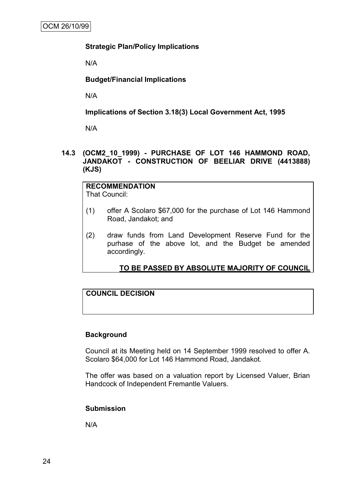## **Strategic Plan/Policy Implications**

N/A

**Budget/Financial Implications**

N/A

**Implications of Section 3.18(3) Local Government Act, 1995**

N/A

## **14.3 (OCM2\_10\_1999) - PURCHASE OF LOT 146 HAMMOND ROAD, JANDAKOT - CONSTRUCTION OF BEELIAR DRIVE (4413888) (KJS)**

**RECOMMENDATION** That Council:

- (1) offer A Scolaro \$67,000 for the purchase of Lot 146 Hammond Road, Jandakot; and
- (2) draw funds from Land Development Reserve Fund for the purhase of the above lot, and the Budget be amended accordingly.

# **TO BE PASSED BY ABSOLUTE MAJORITY OF COUNCIL**

# **COUNCIL DECISION**

### **Background**

Council at its Meeting held on 14 September 1999 resolved to offer A. Scolaro \$64,000 for Lot 146 Hammond Road, Jandakot.

The offer was based on a valuation report by Licensed Valuer, Brian Handcock of Independent Fremantle Valuers.

### **Submission**

N/A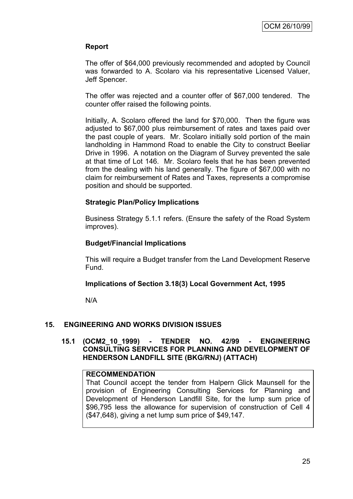## **Report**

The offer of \$64,000 previously recommended and adopted by Council was forwarded to A. Scolaro via his representative Licensed Valuer, Jeff Spencer.

The offer was rejected and a counter offer of \$67,000 tendered. The counter offer raised the following points.

Initially, A. Scolaro offered the land for \$70,000. Then the figure was adjusted to \$67,000 plus reimbursement of rates and taxes paid over the past couple of years. Mr. Scolaro initially sold portion of the main landholding in Hammond Road to enable the City to construct Beeliar Drive in 1996. A notation on the Diagram of Survey prevented the sale at that time of Lot 146. Mr. Scolaro feels that he has been prevented from the dealing with his land generally. The figure of \$67,000 with no claim for reimbursement of Rates and Taxes, represents a compromise position and should be supported.

### **Strategic Plan/Policy Implications**

Business Strategy 5.1.1 refers. (Ensure the safety of the Road System improves).

### **Budget/Financial Implications**

This will require a Budget transfer from the Land Development Reserve Fund.

### **Implications of Section 3.18(3) Local Government Act, 1995**

N/A

### **15. ENGINEERING AND WORKS DIVISION ISSUES**

### **15.1 (OCM2\_10\_1999) - TENDER NO. 42/99 - ENGINEERING CONSULTING SERVICES FOR PLANNING AND DEVELOPMENT OF HENDERSON LANDFILL SITE (BKG/RNJ) (ATTACH)**

### **RECOMMENDATION**

That Council accept the tender from Halpern Glick Maunsell for the provision of Engineering Consulting Services for Planning and Development of Henderson Landfill Site, for the lump sum price of \$96,795 less the allowance for supervision of construction of Cell 4 (\$47,648), giving a net lump sum price of \$49,147.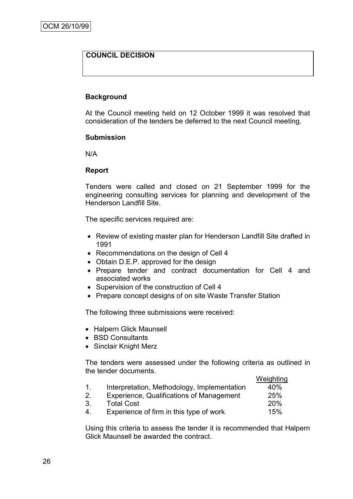# **COUNCIL DECISION**

#### **Background**

At the Council meeting held on 12 October 1999 it was resolved that consideration of the tenders be deferred to the next Council meeting.

#### **Submission**

N/A

#### **Report**

Tenders were called and closed on 21 September 1999 for the engineering consulting services for planning and development of the Henderson Landfill Site.

The specific services required are:

- Review of existing master plan for Henderson Landfill Site drafted in 1991
- Recommendations on the design of Cell 4
- Obtain D.E.P. approved for the design
- Prepare tender and contract documentation for Cell 4 and associated works
- Supervision of the construction of Cell 4
- Prepare concept designs of on site Waste Transfer Station

The following three submissions were received:

- Halpern Glick Maunsell
- BSD Consultants
- Sinclair Knight Merz

The tenders were assessed under the following criteria as outlined in the tender documents.

|                                             | Weighting |
|---------------------------------------------|-----------|
| Interpretation, Methodology, Implementation | 40%       |
|                                             |           |

- 2. Experience, Qualifications of Management 25%
- 3. Total Cost 20%
- 4. Experience of firm in this type of work 15%

Using this criteria to assess the tender it is recommended that Halpern Glick Maunsell be awarded the contract.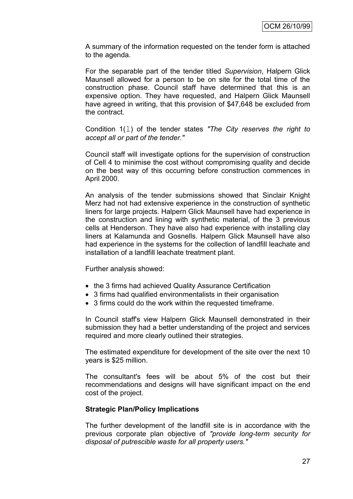A summary of the information requested on the tender form is attached to the agenda.

For the separable part of the tender titled *Supervision*, Halpern Glick Maunsell allowed for a person to be on site for the total time of the construction phase. Council staff have determined that this is an expensive option. They have requested, and Halpern Glick Maunsell have agreed in writing, that this provision of \$47,648 be excluded from the contract.

Condition 1(l) of the tender states *"The City reserves the right to accept all or part of the tender."*

Council staff will investigate options for the supervision of construction of Cell 4 to minimise the cost without compromising quality and decide on the best way of this occurring before construction commences in April 2000.

An analysis of the tender submissions showed that Sinclair Knight Merz had not had extensive experience in the construction of synthetic liners for large projects. Halpern Glick Maunsell have had experience in the construction and lining with synthetic material, of the 3 previous cells at Henderson. They have also had experience with installing clay liners at Kalamunda and Gosnells. Halpern Glick Maunsell have also had experience in the systems for the collection of landfill leachate and installation of a landfill leachate treatment plant.

Further analysis showed:

- the 3 firms had achieved Quality Assurance Certification
- 3 firms had qualified environmentalists in their organisation
- 3 firms could do the work within the requested timeframe.

In Council staff's view Halpern Glick Maunsell demonstrated in their submission they had a better understanding of the project and services required and more clearly outlined their strategies.

The estimated expenditure for development of the site over the next 10 years is \$25 million.

The consultant's fees will be about 5% of the cost but their recommendations and designs will have significant impact on the end cost of the project.

#### **Strategic Plan/Policy Implications**

The further development of the landfill site is in accordance with the previous corporate plan objective of *"provide long-term security for disposal of putrescible waste for all property users."*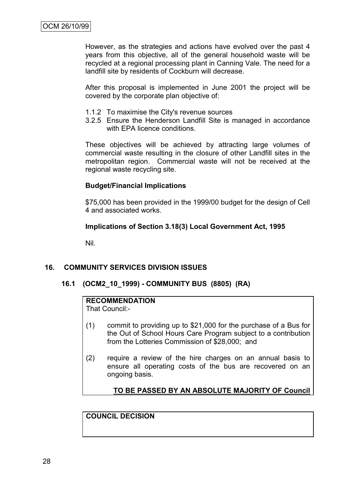However, as the strategies and actions have evolved over the past 4 years from this objective, all of the general household waste will be recycled at a regional processing plant in Canning Vale. The need for a landfill site by residents of Cockburn will decrease.

After this proposal is implemented in June 2001 the project will be covered by the corporate plan objective of:

- 1.1.2 To maximise the City's revenue sources
- 3.2.5 Ensure the Henderson Landfill Site is managed in accordance with EPA licence conditions.

These objectives will be achieved by attracting large volumes of commercial waste resulting in the closure of other Landfill sites in the metropolitan region. Commercial waste will not be received at the regional waste recycling site.

## **Budget/Financial Implications**

\$75,000 has been provided in the 1999/00 budget for the design of Cell 4 and associated works.

## **Implications of Section 3.18(3) Local Government Act, 1995**

Nil.

# **16. COMMUNITY SERVICES DIVISION ISSUES**

### **16.1 (OCM2\_10\_1999) - COMMUNITY BUS (8805) (RA)**

# **RECOMMENDATION**

That Council:-

- (1) commit to providing up to \$21,000 for the purchase of a Bus for the Out of School Hours Care Program subject to a contribution from the Lotteries Commission of \$28,000; and
- (2) require a review of the hire charges on an annual basis to ensure all operating costs of the bus are recovered on an ongoing basis.

# **TO BE PASSED BY AN ABSOLUTE MAJORITY OF Council**

## **COUNCIL DECISION**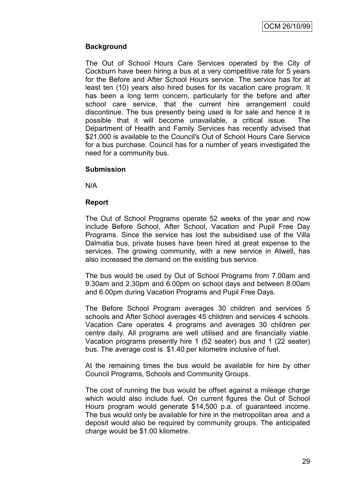# **Background**

The Out of School Hours Care Services operated by the City of Cockburn have been hiring a bus at a very competitive rate for 5 years for the Before and After School Hours service. The service has for at least ten (10) years also hired buses for its vacation care program. It has been a long term concern, particularly for the before and after school care service, that the current hire arrangement could discontinue. The bus presently being used is for sale and hence it is possible that it will become unavailable, a critical issue. The Department of Health and Family Services has recently advised that \$21,000 is available to the Council's Out of School Hours Care Service for a bus purchase. Council has for a number of years investigated the need for a community bus.

### **Submission**

N/A

### **Report**

The Out of School Programs operate 52 weeks of the year and now include Before School, After School, Vacation and Pupil Free Day Programs. Since the service has lost the subsidised use of the Villa Dalmatia bus, private buses have been hired at great expense to the services. The growing community, with a new service in Atwell, has also increased the demand on the existing bus service.

The bus would be used by Out of School Programs from 7.00am and 9.30am and 2.30pm and 6.00pm on school days and between 8.00am and 6.00pm during Vacation Programs and Pupil Free Days.

The Before School Program averages 30 children and services 5 schools and After School averages 45 children and services 4 schools. Vacation Care operates 4 programs and averages 30 children per centre daily. All programs are well utilised and are financially viable. Vacation programs presently hire 1 (52 seater) bus and 1 (22 seater) bus. The average cost is \$1.40 per kilometre inclusive of fuel.

At the remaining times the bus would be available for hire by other Council Programs, Schools and Community Groups.

The cost of running the bus would be offset against a mileage charge which would also include fuel. On current figures the Out of School Hours program would generate \$14,500 p.a. of guaranteed income. The bus would only be available for hire in the metropolitan area and a deposit would also be required by community groups. The anticipated charge would be \$1.00 kilometre.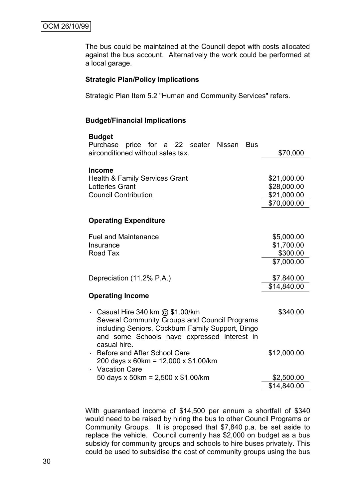The bus could be maintained at the Council depot with costs allocated against the bus account. Alternatively the work could be performed at a local garage.

#### **Strategic Plan/Policy Implications**

Strategic Plan Item 5.2 "Human and Community Services" refers.

## **Budget/Financial Implications**

| <b>Budget</b><br>Purchase<br>price for a 22 seater Nissan<br>Bus                                                                                                                          |             |
|-------------------------------------------------------------------------------------------------------------------------------------------------------------------------------------------|-------------|
| airconditioned without sales tax.                                                                                                                                                         | \$70,000    |
| <b>Income</b>                                                                                                                                                                             |             |
| <b>Health &amp; Family Services Grant</b>                                                                                                                                                 | \$21,000.00 |
| <b>Lotteries Grant</b>                                                                                                                                                                    | \$28,000.00 |
| <b>Council Contribution</b>                                                                                                                                                               | \$21,000.00 |
|                                                                                                                                                                                           | \$70,000.00 |
| <b>Operating Expenditure</b>                                                                                                                                                              |             |
|                                                                                                                                                                                           |             |
| <b>Fuel and Maintenance</b>                                                                                                                                                               | \$5,000.00  |
| Insurance                                                                                                                                                                                 | \$1,700.00  |
| Road Tax                                                                                                                                                                                  | \$300.00    |
|                                                                                                                                                                                           | \$7,000.00  |
| Depreciation (11.2% P.A.)                                                                                                                                                                 | \$7.840.00  |
|                                                                                                                                                                                           | \$14,840.00 |
| <b>Operating Income</b>                                                                                                                                                                   |             |
| Casual Hire 340 km @ \$1.00/km<br>×,<br>Several Community Groups and Council Programs<br>including Seniors, Cockburn Family Support, Bingo<br>and some Schools have expressed interest in | \$340.00    |
| casual hire.<br>Before and After School Care<br>200 days x 60km = 12,000 x \$1.00/km<br><b>Vacation Care</b>                                                                              | \$12,000.00 |
| 50 days x 50km = 2,500 x \$1.00/km                                                                                                                                                        | \$2,500.00  |
|                                                                                                                                                                                           | \$14,840.00 |

With guaranteed income of \$14,500 per annum a shortfall of \$340 would need to be raised by hiring the bus to other Council Programs or Community Groups. It is proposed that \$7,840 p.a. be set aside to replace the vehicle. Council currently has \$2,000 on budget as a bus subsidy for community groups and schools to hire buses privately. This could be used to subsidise the cost of community groups using the bus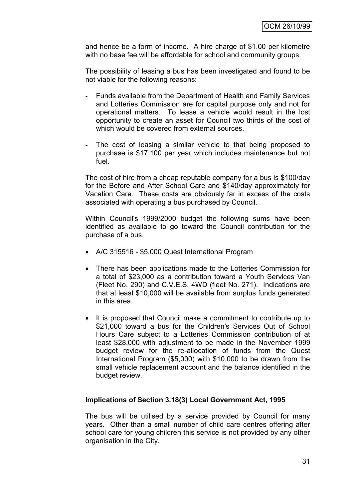and hence be a form of income. A hire charge of \$1.00 per kilometre with no base fee will be affordable for school and community groups.

The possibility of leasing a bus has been investigated and found to be not viable for the following reasons:

- Funds available from the Department of Health and Family Services and Lotteries Commission are for capital purpose only and not for operational matters. To lease a vehicle would result in the lost opportunity to create an asset for Council two thirds of the cost of which would be covered from external sources.
- The cost of leasing a similar vehicle to that being proposed to purchase is \$17,100 per year which includes maintenance but not fuel.

The cost of hire from a cheap reputable company for a bus is \$100/day for the Before and After School Care and \$140/day approximately for Vacation Care. These costs are obviously far in excess of the costs associated with operating a bus purchased by Council.

Within Council's 1999/2000 budget the following sums have been identified as available to go toward the Council contribution for the purchase of a bus.

- A/C 315516 \$5,000 Quest International Program
- There has been applications made to the Lotteries Commission for a total of \$23,000 as a contribution toward a Youth Services Van (Fleet No. 290) and C.V.E.S. 4WD (fleet No. 271). Indications are that at least \$10,000 will be available from surplus funds generated in this area.
- It is proposed that Council make a commitment to contribute up to \$21,000 toward a bus for the Children's Services Out of School Hours Care subject to a Lotteries Commission contribution of at least \$28,000 with adjustment to be made in the November 1999 budget review for the re-allocation of funds from the Quest International Program (\$5,000) with \$10,000 to be drawn from the small vehicle replacement account and the balance identified in the budget review.

# **Implications of Section 3.18(3) Local Government Act, 1995**

The bus will be utilised by a service provided by Council for many years. Other than a small number of child care centres offering after school care for young children this service is not provided by any other organisation in the City.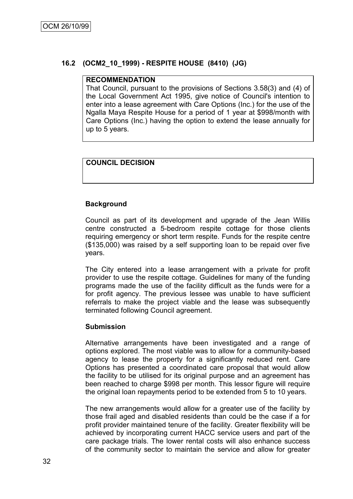# **16.2 (OCM2\_10\_1999) - RESPITE HOUSE (8410) (JG)**

#### **RECOMMENDATION**

That Council, pursuant to the provisions of Sections 3.58(3) and (4) of the Local Government Act 1995, give notice of Council's intention to enter into a lease agreement with Care Options (Inc.) for the use of the Ngalla Maya Respite House for a period of 1 year at \$998/month with Care Options (Inc.) having the option to extend the lease annually for up to 5 years.

# **COUNCIL DECISION**

### **Background**

Council as part of its development and upgrade of the Jean Willis centre constructed a 5-bedroom respite cottage for those clients requiring emergency or short term respite. Funds for the respite centre (\$135,000) was raised by a self supporting loan to be repaid over five years.

The City entered into a lease arrangement with a private for profit provider to use the respite cottage. Guidelines for many of the funding programs made the use of the facility difficult as the funds were for a for profit agency. The previous lessee was unable to have sufficient referrals to make the project viable and the lease was subsequently terminated following Council agreement.

#### **Submission**

Alternative arrangements have been investigated and a range of options explored. The most viable was to allow for a community-based agency to lease the property for a significantly reduced rent. Care Options has presented a coordinated care proposal that would allow the facility to be utilised for its original purpose and an agreement has been reached to charge \$998 per month. This lessor figure will require the original loan repayments period to be extended from 5 to 10 years.

The new arrangements would allow for a greater use of the facility by those frail aged and disabled residents than could be the case if a for profit provider maintained tenure of the facility. Greater flexibility will be achieved by incorporating current HACC service users and part of the care package trials. The lower rental costs will also enhance success of the community sector to maintain the service and allow for greater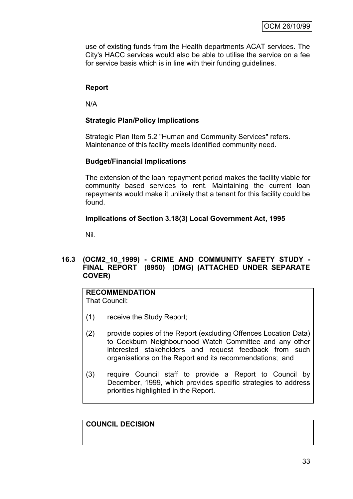use of existing funds from the Health departments ACAT services. The City's HACC services would also be able to utilise the service on a fee for service basis which is in line with their funding guidelines.

# **Report**

N/A

## **Strategic Plan/Policy Implications**

Strategic Plan Item 5.2 "Human and Community Services" refers. Maintenance of this facility meets identified community need.

### **Budget/Financial Implications**

The extension of the loan repayment period makes the facility viable for community based services to rent. Maintaining the current loan repayments would make it unlikely that a tenant for this facility could be found.

### **Implications of Section 3.18(3) Local Government Act, 1995**

Nil.

# **16.3 (OCM2\_10\_1999) - CRIME AND COMMUNITY SAFETY STUDY - FINAL REPORT (8950) (DMG) (ATTACHED UNDER SEPARATE COVER)**

# **RECOMMENDATION**

That Council:

- (1) receive the Study Report;
- (2) provide copies of the Report (excluding Offences Location Data) to Cockburn Neighbourhood Watch Committee and any other interested stakeholders and request feedback from such organisations on the Report and its recommendations; and
- (3) require Council staff to provide a Report to Council by December, 1999, which provides specific strategies to address priorities highlighted in the Report.

**COUNCIL DECISION**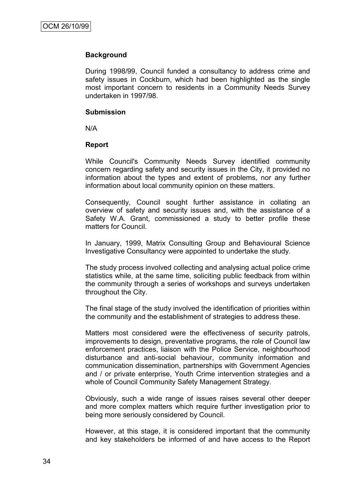#### **Background**

During 1998/99, Council funded a consultancy to address crime and safety issues in Cockburn, which had been highlighted as the single most important concern to residents in a Community Needs Survey undertaken in 1997/98.

#### **Submission**

N/A

### **Report**

While Council's Community Needs Survey identified community concern regarding safety and security issues in the City, it provided no information about the types and extent of problems, nor any further information about local community opinion on these matters.

Consequently, Council sought further assistance in collating an overview of safety and security issues and, with the assistance of a Safety W.A. Grant, commissioned a study to better profile these matters for Council.

In January, 1999, Matrix Consulting Group and Behavioural Science Investigative Consultancy were appointed to undertake the study.

The study process involved collecting and analysing actual police crime statistics while, at the same time, soliciting public feedback from within the community through a series of workshops and surveys undertaken throughout the City.

The final stage of the study involved the identification of priorities within the community and the establishment of strategies to address these.

Matters most considered were the effectiveness of security patrols, improvements to design, preventative programs, the role of Council law enforcement practices, liaison with the Police Service, neighbourhood disturbance and anti-social behaviour, community information and communication dissemination, partnerships with Government Agencies and / or private enterprise, Youth Crime intervention strategies and a whole of Council Community Safety Management Strategy.

Obviously, such a wide range of issues raises several other deeper and more complex matters which require further investigation prior to being more seriously considered by Council.

However, at this stage, it is considered important that the community and key stakeholders be informed of and have access to the Report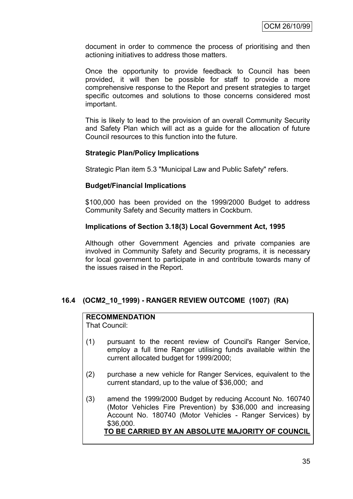document in order to commence the process of prioritising and then actioning initiatives to address those matters.

Once the opportunity to provide feedback to Council has been provided, it will then be possible for staff to provide a more comprehensive response to the Report and present strategies to target specific outcomes and solutions to those concerns considered most important.

This is likely to lead to the provision of an overall Community Security and Safety Plan which will act as a guide for the allocation of future Council resources to this function into the future.

## **Strategic Plan/Policy Implications**

Strategic Plan item 5.3 "Municipal Law and Public Safety" refers.

### **Budget/Financial Implications**

\$100,000 has been provided on the 1999/2000 Budget to address Community Safety and Security matters in Cockburn.

### **Implications of Section 3.18(3) Local Government Act, 1995**

Although other Government Agencies and private companies are involved in Community Safety and Security programs, it is necessary for local government to participate in and contribute towards many of the issues raised in the Report.

# **16.4 (OCM2\_10\_1999) - RANGER REVIEW OUTCOME (1007) (RA)**

## **RECOMMENDATION**

That Council:

- (1) pursuant to the recent review of Council's Ranger Service, employ a full time Ranger utilising funds available within the current allocated budget for 1999/2000;
- (2) purchase a new vehicle for Ranger Services, equivalent to the current standard, up to the value of \$36,000; and
- (3) amend the 1999/2000 Budget by reducing Account No. 160740 (Motor Vehicles Fire Prevention) by \$36,000 and increasing Account No. 180740 (Motor Vehicles - Ranger Services) by \$36,000. **TO BE CARRIED BY AN ABSOLUTE MAJORITY OF COUNCIL**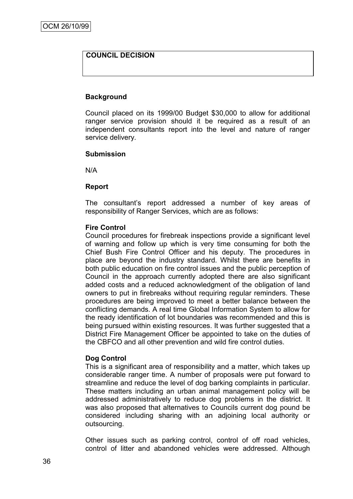# **COUNCIL DECISION**

#### **Background**

Council placed on its 1999/00 Budget \$30,000 to allow for additional ranger service provision should it be required as a result of an independent consultants report into the level and nature of ranger service delivery.

#### **Submission**

N/A

#### **Report**

The consultant"s report addressed a number of key areas of responsibility of Ranger Services, which are as follows:

#### **Fire Control**

Council procedures for firebreak inspections provide a significant level of warning and follow up which is very time consuming for both the Chief Bush Fire Control Officer and his deputy. The procedures in place are beyond the industry standard. Whilst there are benefits in both public education on fire control issues and the public perception of Council in the approach currently adopted there are also significant added costs and a reduced acknowledgment of the obligation of land owners to put in firebreaks without requiring regular reminders. These procedures are being improved to meet a better balance between the conflicting demands. A real time Global Information System to allow for the ready identification of lot boundaries was recommended and this is being pursued within existing resources. It was further suggested that a District Fire Management Officer be appointed to take on the duties of the CBFCO and all other prevention and wild fire control duties.

### **Dog Control**

This is a significant area of responsibility and a matter, which takes up considerable ranger time. A number of proposals were put forward to streamline and reduce the level of dog barking complaints in particular. These matters including an urban animal management policy will be addressed administratively to reduce dog problems in the district. It was also proposed that alternatives to Councils current dog pound be considered including sharing with an adjoining local authority or outsourcing.

Other issues such as parking control, control of off road vehicles, control of litter and abandoned vehicles were addressed. Although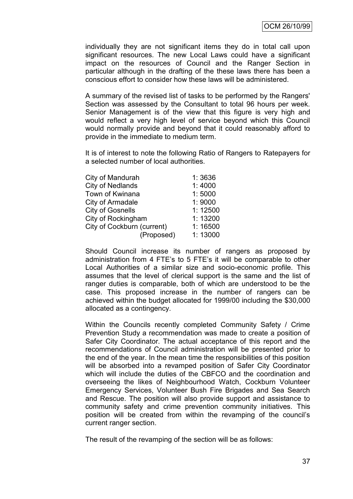individually they are not significant items they do in total call upon significant resources. The new Local Laws could have a significant impact on the resources of Council and the Ranger Section in particular although in the drafting of the these laws there has been a conscious effort to consider how these laws will be administered.

A summary of the revised list of tasks to be performed by the Rangers' Section was assessed by the Consultant to total 96 hours per week. Senior Management is of the view that this figure is very high and would reflect a very high level of service beyond which this Council would normally provide and beyond that it could reasonably afford to provide in the immediate to medium term.

It is of interest to note the following Ratio of Rangers to Ratepayers for a selected number of local authorities.

| City of Mandurah           | 1:3636  |
|----------------------------|---------|
| <b>City of Nedlands</b>    | 1:4000  |
| Town of Kwinana            | 1:5000  |
| City of Armadale           | 1:9000  |
| <b>City of Gosnells</b>    | 1:12500 |
| City of Rockingham         | 1:13200 |
| City of Cockburn (current) | 1:16500 |
| (Proposed)                 | 1:13000 |
|                            |         |

Should Council increase its number of rangers as proposed by administration from 4 FTE's to 5 FTE's it will be comparable to other Local Authorities of a similar size and socio-economic profile. This assumes that the level of clerical support is the same and the list of ranger duties is comparable, both of which are understood to be the case. This proposed increase in the number of rangers can be achieved within the budget allocated for 1999/00 including the \$30,000 allocated as a contingency.

Within the Councils recently completed Community Safety / Crime Prevention Study a recommendation was made to create a position of Safer City Coordinator. The actual acceptance of this report and the recommendations of Council administration will be presented prior to the end of the year. In the mean time the responsibilities of this position will be absorbed into a revamped position of Safer City Coordinator which will include the duties of the CBFCO and the coordination and overseeing the likes of Neighbourhood Watch, Cockburn Volunteer Emergency Services, Volunteer Bush Fire Brigades and Sea Search and Rescue. The position will also provide support and assistance to community safety and crime prevention community initiatives. This position will be created from within the revamping of the council"s current ranger section.

The result of the revamping of the section will be as follows: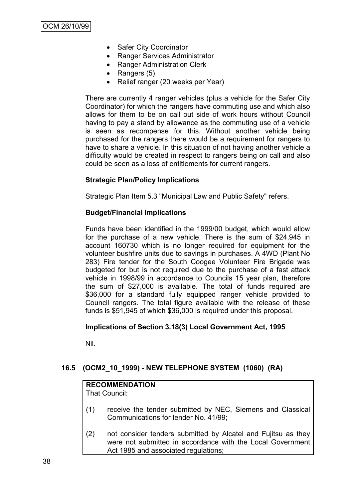- Safer City Coordinator
- Ranger Services Administrator
- Ranger Administration Clerk
- Rangers  $(5)$
- Relief ranger (20 weeks per Year)

There are currently 4 ranger vehicles (plus a vehicle for the Safer City Coordinator) for which the rangers have commuting use and which also allows for them to be on call out side of work hours without Council having to pay a stand by allowance as the commuting use of a vehicle is seen as recompense for this. Without another vehicle being purchased for the rangers there would be a requirement for rangers to have to share a vehicle. In this situation of not having another vehicle a difficulty would be created in respect to rangers being on call and also could be seen as a loss of entitlements for current rangers.

### **Strategic Plan/Policy Implications**

Strategic Plan Item 5.3 "Municipal Law and Public Safety" refers.

### **Budget/Financial Implications**

Funds have been identified in the 1999/00 budget, which would allow for the purchase of a new vehicle. There is the sum of \$24,945 in account 160730 which is no longer required for equipment for the volunteer bushfire units due to savings in purchases. A 4WD (Plant No 283) Fire tender for the South Coogee Volunteer Fire Brigade was budgeted for but is not required due to the purchase of a fast attack vehicle in 1998/99 in accordance to Councils 15 year plan, therefore the sum of \$27,000 is available. The total of funds required are \$36,000 for a standard fully equipped ranger vehicle provided to Council rangers. The total figure available with the release of these funds is \$51,945 of which \$36,000 is required under this proposal.

### **Implications of Section 3.18(3) Local Government Act, 1995**

Nil.

# **16.5 (OCM2\_10\_1999) - NEW TELEPHONE SYSTEM (1060) (RA)**

# **RECOMMENDATION**

That Council:

- (1) receive the tender submitted by NEC, Siemens and Classical Communications for tender No. 41/99;
- (2) not consider tenders submitted by Alcatel and Fujitsu as they were not submitted in accordance with the Local Government Act 1985 and associated regulations;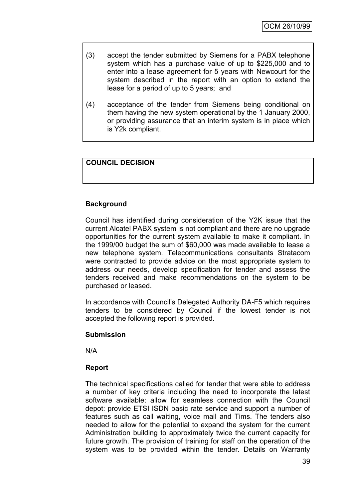- (3) accept the tender submitted by Siemens for a PABX telephone system which has a purchase value of up to \$225,000 and to enter into a lease agreement for 5 years with Newcourt for the system described in the report with an option to extend the lease for a period of up to 5 years; and
- (4) acceptance of the tender from Siemens being conditional on them having the new system operational by the 1 January 2000, or providing assurance that an interim system is in place which is Y2k compliant.

# **COUNCIL DECISION**

### **Background**

Council has identified during consideration of the Y2K issue that the current Alcatel PABX system is not compliant and there are no upgrade opportunities for the current system available to make it compliant. In the 1999/00 budget the sum of \$60,000 was made available to lease a new telephone system. Telecommunications consultants Stratacom were contracted to provide advice on the most appropriate system to address our needs, develop specification for tender and assess the tenders received and make recommendations on the system to be purchased or leased.

In accordance with Council's Delegated Authority DA-F5 which requires tenders to be considered by Council if the lowest tender is not accepted the following report is provided.

#### **Submission**

N/A

### **Report**

The technical specifications called for tender that were able to address a number of key criteria including the need to incorporate the latest software available: allow for seamless connection with the Council depot: provide ETSI ISDN basic rate service and support a number of features such as call waiting, voice mail and Tims. The tenders also needed to allow for the potential to expand the system for the current Administration building to approximately twice the current capacity for future growth. The provision of training for staff on the operation of the system was to be provided within the tender. Details on Warranty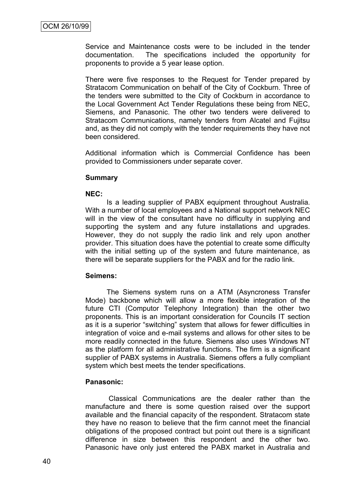Service and Maintenance costs were to be included in the tender documentation. The specifications included the opportunity for proponents to provide a 5 year lease option.

There were five responses to the Request for Tender prepared by Stratacom Communication on behalf of the City of Cockburn. Three of the tenders were submitted to the City of Cockburn in accordance to the Local Government Act Tender Regulations these being from NEC, Siemens, and Panasonic. The other two tenders were delivered to Stratacom Communications, namely tenders from Alcatel and Fujitsu and, as they did not comply with the tender requirements they have not been considered.

Additional information which is Commercial Confidence has been provided to Commissioners under separate cover.

#### **Summary**

#### **NEC:**

Is a leading supplier of PABX equipment throughout Australia. With a number of local employees and a National support network NEC will in the view of the consultant have no difficulty in supplying and supporting the system and any future installations and upgrades. However, they do not supply the radio link and rely upon another provider. This situation does have the potential to create some difficulty with the initial setting up of the system and future maintenance, as there will be separate suppliers for the PABX and for the radio link.

#### **Seimens:**

The Siemens system runs on a ATM (Asyncroness Transfer Mode) backbone which will allow a more flexible integration of the future CTI (Computor Telephony Integration) than the other two proponents. This is an important consideration for Councils IT section as it is a superior "switching" system that allows for fewer difficulties in integration of voice and e-mail systems and allows for other sites to be more readily connected in the future. Siemens also uses Windows NT as the platform for all administrative functions. The firm is a significant supplier of PABX systems in Australia. Siemens offers a fully compliant system which best meets the tender specifications.

### **Panasonic:**

Classical Communications are the dealer rather than the manufacture and there is some question raised over the support available and the financial capacity of the respondent. Stratacom state they have no reason to believe that the firm cannot meet the financial obligations of the proposed contract but point out there is a significant difference in size between this respondent and the other two. Panasonic have only just entered the PABX market in Australia and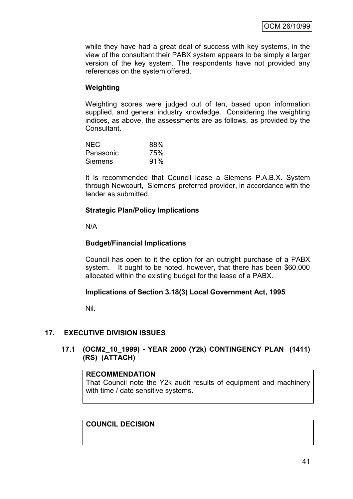while they have had a great deal of success with key systems, in the view of the consultant their PABX system appears to be simply a larger version of the key system. The respondents have not provided any references on the system offered.

## **Weighting**

Weighting scores were judged out of ten, based upon information supplied, and general industry knowledge. Considering the weighting indices, as above, the assessments are as follows, as provided by the Consultant.

| <b>NEC</b> | 88% |
|------------|-----|
| Panasonic  | 75% |
| Siemens    | 91% |

It is recommended that Council lease a Siemens P.A.B.X. System through Newcourt, Siemens' preferred provider, in accordance with the tender as submitted.

## **Strategic Plan/Policy Implications**

N/A

### **Budget/Financial Implications**

Council has open to it the option for an outright purchase of a PABX system. It ought to be noted, however, that there has been \$60,000 allocated within the existing budget for the lease of a PABX.

### **Implications of Section 3.18(3) Local Government Act, 1995**

Nil.

### **17. EXECUTIVE DIVISION ISSUES**

## **17.1 (OCM2\_10\_1999) - YEAR 2000 (Y2k) CONTINGENCY PLAN (1411) (RS) (ATTACH)**

### **RECOMMENDATION**

That Council note the Y2k audit results of equipment and machinery with time / date sensitive systems.

**COUNCIL DECISION**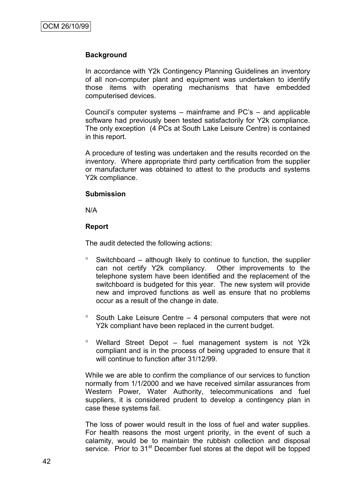#### **Background**

In accordance with Y2k Contingency Planning Guidelines an inventory of all non-computer plant and equipment was undertaken to identify those items with operating mechanisms that have embedded computerised devices.

Council"s computer systems – mainframe and PC"s – and applicable software had previously been tested satisfactorily for Y2k compliance. The only exception (4 PCs at South Lake Leisure Centre) is contained in this report.

A procedure of testing was undertaken and the results recorded on the inventory. Where appropriate third party certification from the supplier or manufacturer was obtained to attest to the products and systems Y2k compliance.

#### **Submission**

N/A

### **Report**

The audit detected the following actions:

- $\degree$  Switchboard although likely to continue to function, the supplier can not certify Y2k compliancy. Other improvements to the telephone system have been identified and the replacement of the switchboard is budgeted for this year. The new system will provide new and improved functions as well as ensure that no problems occur as a result of the change in date.
- $\degree$  South Lake Leisure Centre 4 personal computers that were not Y2k compliant have been replaced in the current budget.
- Wellard Street Depot fuel management system is not Y2k compliant and is in the process of being upgraded to ensure that it will continue to function after 31/12/99.

While we are able to confirm the compliance of our services to function normally from 1/1/2000 and we have received similar assurances from Western Power, Water Authority, telecommunications and fuel suppliers, it is considered prudent to develop a contingency plan in case these systems fail.

The loss of power would result in the loss of fuel and water supplies. For health reasons the most urgent priority, in the event of such a calamity, would be to maintain the rubbish collection and disposal service. Prior to 31<sup>st</sup> December fuel stores at the depot will be topped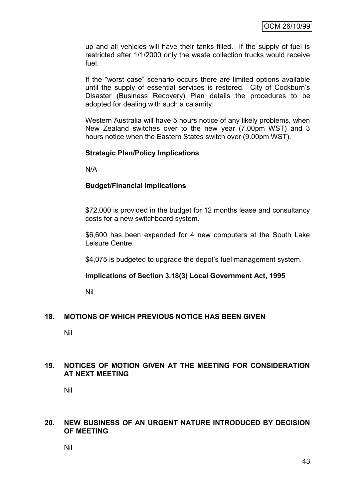up and all vehicles will have their tanks filled. If the supply of fuel is restricted after 1/1/2000 only the waste collection trucks would receive fuel.

If the "worst case" scenario occurs there are limited options available until the supply of essential services is restored. City of Cockburn"s Disaster (Business Recovery) Plan details the procedures to be adopted for dealing with such a calamity.

Western Australia will have 5 hours notice of any likely problems, when New Zealand switches over to the new year (7.00pm WST) and 3 hours notice when the Eastern States switch over (9.00pm WST).

### **Strategic Plan/Policy Implications**

N/A

## **Budget/Financial Implications**

\$72,000 is provided in the budget for 12 months lease and consultancy costs for a new switchboard system.

\$6,600 has been expended for 4 new computers at the South Lake Leisure Centre.

\$4,075 is budgeted to upgrade the depot's fuel management system.

### **Implications of Section 3.18(3) Local Government Act, 1995**

Nil.

### **18. MOTIONS OF WHICH PREVIOUS NOTICE HAS BEEN GIVEN**

Nil

### **19. NOTICES OF MOTION GIVEN AT THE MEETING FOR CONSIDERATION AT NEXT MEETING**

Nil

### **20. NEW BUSINESS OF AN URGENT NATURE INTRODUCED BY DECISION OF MEETING**

Nil